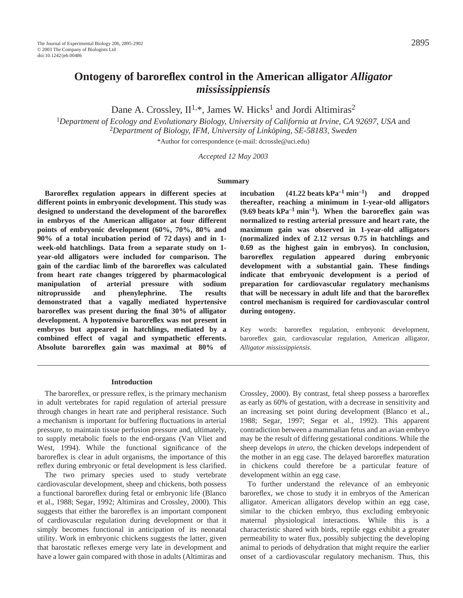# **Ontogeny of baroreflex control in the American alligator** *Alligator mississippiensis*

Dane A. Crossley,  $\mathbb{II}^{1,*}$ , James W. Hicks<sup>1</sup> and Jordi Altimiras<sup>2</sup>

<sup>1</sup>*Department of Ecology and Evolutionary Biology, University of California at Irvine, CA 92697, USA* and <sup>2</sup>*Department of Biology, IFM, University of Linköping, SE-58183, Sweden*

\*Author for correspondence (e-mail: dcrossle@uci.edu)

*Accepted 12 May 2003*

#### **Summary**

**Baroreflex regulation appears in different species at different points in embryonic development. This study was designed to understand the development of the baroreflex in embryos of the American alligator at four different points of embryonic development (60%, 70%, 80% and 90% of a total incubation period of 72·days) and in 1 week-old hatchlings. Data from a separate study on 1 year-old alligators were included for comparison. The gain of the cardiac limb of the baroreflex was calculated from heart rate changes triggered by pharmacological manipulation of arterial pressure with sodium nitroprusside and phenylephrine. The results demonstrated that a vagally mediated hypertensive baroreflex was present during the final 30% of alligator development. A hypotensive baroreflex was not present in embryos but appeared in hatchlings, mediated by a combined effect of vagal and sympathetic efferents. Absolute baroreflex gain was maximal at 80% of** **incubation**  $(41.22 \text{ beats kPa}^{-1} \text{min}^{-1})$  and dropped **thereafter, reaching a minimum in 1-year-old alligators**  $(9.69 \text{ beats kPa}^{-1} \text{min}^{-1})$ . When the baroreflex gain was **normalized to resting arterial pressure and heart rate, the maximum gain was observed in 1-year-old alligators (normalized index of 2.12** *versus* **0.75 in hatchlings and 0.69 as the highest gain in embryos). In conclusion, baroreflex regulation appeared during embryonic development with a substantial gain. These findings indicate that embryonic development is a period of preparation for cardiovascular regulatory mechanisms that will be necessary in adult life and that the baroreflex control mechanism is required for cardiovascular control during ontogeny.** 

Key words: baroreflex regulation, embryonic development, baroreflex gain, cardiovascular regulation, American alligator, *Alligator mississippiensis*.

#### **Introduction**

The baroreflex, or pressure reflex, is the primary mechanism in adult vertebrates for rapid regulation of arterial pressure through changes in heart rate and peripheral resistance. Such a mechanism is important for buffering fluctuations in arterial pressure, to maintain tissue perfusion pressure and, ultimately, to supply metabolic fuels to the end-organs (Van Vliet and West, 1994). While the functional significance of the baroreflex is clear in adult organisms, the importance of this reflex during embryonic or fetal development is less clarified.

The two primary species used to study vertebrate cardiovascular development, sheep and chickens, both possess a functional baroreflex during fetal or embryonic life (Blanco et al., 1988; Segar, 1992; Altimiras and Crossley, 2000). This suggests that either the baroreflex is an important component of cardiovascular regulation during development or that it simply becomes functional in anticipation of its neonatal utility. Work in embryonic chickens suggests the latter, given that barostatic reflexes emerge very late in development and have a lower gain compared with those in adults (Altimiras and

Crossley, 2000). By contrast, fetal sheep possess a baroreflex as early as 60% of gestation, with a decrease in sensitivity and an increasing set point during development (Blanco et al., 1988; Segar, 1997; Segar et al., 1992). This apparent contradiction between a mammalian fetus and an avian embryo may be the result of differing gestational conditions. While the sheep develops *in utero*, the chicken develops independent of the mother in an egg case. The delayed baroreflex maturation in chickens could therefore be a particular feature of development within an egg case.

To further understand the relevance of an embryonic baroreflex, we chose to study it in embryos of the American alligator. American alligators develop within an egg case, similar to the chicken embryo, thus excluding embryonic maternal physiological interactions. While this is a characteristic shared with birds, reptile eggs exhibit a greater permeability to water flux, possibly subjecting the developing animal to periods of dehydration that might require the earlier onset of a cardiovascular regulatory mechanism. Thus, this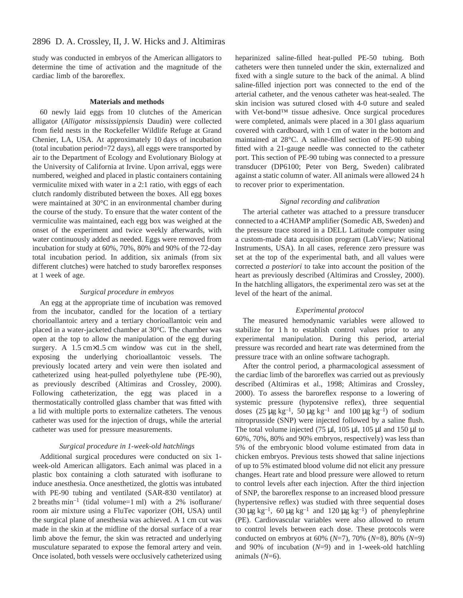study was conducted in embryos of the American alligators to determine the time of activation and the magnitude of the cardiac limb of the baroreflex.

### **Materials and methods**

60 newly laid eggs from 10 clutches of the American alligator (*Alligator mississippiensis* Daudin) were collected from field nests in the Rockefeller Wildlife Refuge at Grand Chenier, LA, USA. At approximately 10 days of incubation (total incubation period=72 days), all eggs were transported by air to the Department of Ecology and Evolutionary Biology at the University of California at Irvine. Upon arrival, eggs were numbered, weighed and placed in plastic containers containing vermiculite mixed with water in a 2:1 ratio, with eggs of each clutch randomly distributed between the boxes. All egg boxes were maintained at 30°C in an environmental chamber during the course of the study. To ensure that the water content of the vermiculite was maintained, each egg box was weighed at the onset of the experiment and twice weekly afterwards, with water continuously added as needed. Eggs were removed from incubation for study at 60%, 70%, 80% and 90% of the 72-day total incubation period. In addition, six animals (from six different clutches) were hatched to study baroreflex responses at 1 week of age.

### *Surgical procedure in embryos*

An egg at the appropriate time of incubation was removed from the incubator, candled for the location of a tertiary chorioallantoic artery and a tertiary chorioallantoic vein and placed in a water-jacketed chamber at 30°C. The chamber was open at the top to allow the manipulation of the egg during surgery. A  $1.5 \text{ cm} \times 1.5 \text{ cm}$  window was cut in the shell, exposing the underlying chorioallantoic vessels. The previously located artery and vein were then isolated and catheterized using heat-pulled polyethylene tube (PE-90), as previously described (Altimiras and Crossley, 2000). Following catheterization, the egg was placed in a thermostatically controlled glass chamber that was fitted with a lid with multiple ports to externalize catheters. The venous catheter was used for the injection of drugs, while the arterial catheter was used for pressure measurements.

# *Surgical procedure in 1-week-old hatchlings*

Additional surgical procedures were conducted on six 1 week-old American alligators. Each animal was placed in a plastic box containing a cloth saturated with isoflurane to induce anesthesia. Once anesthetized, the glottis was intubated with PE-90 tubing and ventilated (SAR-830 ventilator) at 2 breaths  $min^{-1}$  (tidal volume=1 ml) with a 2% isoflurane/ room air mixture using a FluTec vaporizer (OH, USA) until the surgical plane of anesthesia was achieved. A 1 cm cut was made in the skin at the midline of the dorsal surface of a rear limb above the femur, the skin was retracted and underlying musculature separated to expose the femoral artery and vein. Once isolated, both vessels were occlusively catheterized using heparinized saline-filled heat-pulled PE-50 tubing. Both catheters were then tunneled under the skin, externalized and fixed with a single suture to the back of the animal. A blind saline-filled injection port was connected to the end of the arterial catheter, and the venous catheter was heat-sealed. The skin incision was sutured closed with 4-0 suture and sealed with Vet-bond™ tissue adhesive. Once surgical procedures were completed, animals were placed in a 301 glass aquarium covered with cardboard, with 1 cm of water in the bottom and maintained at 28°C. A saline-filled section of PE-90 tubing fitted with a 21-gauge needle was connected to the catheter port. This section of PE-90 tubing was connected to a pressure transducer (DP6100; Peter von Berg, Sweden) calibrated against a static column of water. All animals were allowed 24 h to recover prior to experimentation.

### *Signal recording and calibration*

The arterial catheter was attached to a pressure transducer connected to a 4CHAMP amplifier (Somedic AB, Sweden) and the pressure trace stored in a DELL Latitude computer using a custom-made data acquisition program (LabView; National Instruments, USA). In all cases, reference zero pressure was set at the top of the experimental bath, and all values were corrected *a posteriori* to take into account the position of the heart as previously described (Altimiras and Crossley, 2000). In the hatchling alligators, the experimental zero was set at the level of the heart of the animal.

#### *Experimental protocol*

The measured hemodynamic variables were allowed to stabilize for 1 h to establish control values prior to any experimental manipulation. During this period, arterial pressure was recorded and heart rate was determined from the pressure trace with an online software tachograph.

After the control period, a pharmacological assessment of the cardiac limb of the baroreflex was carried out as previously described (Altimiras et al., 1998; Altimiras and Crossley, 2000). To assess the baroreflex response to a lowering of systemic pressure (hypotensive reflex), three sequential doses  $(25 \mu g kg^{-1}, 50 \mu g kg^{-1}$  and  $100 \mu g kg^{-1}$  of sodium nitroprusside (SNP) were injected followed by a saline flush. The total volume injected (75  $\mu$ l, 105  $\mu$ l, 105  $\mu$ l and 150  $\mu$ l to 60%, 70%, 80% and 90% embryos, respectively) was less than 5% of the embryonic blood volume estimated from data in chicken embryos. Previous tests showed that saline injections of up to 5% estimated blood volume did not elicit any pressure changes. Heart rate and blood pressure were allowed to return to control levels after each injection. After the third injection of SNP, the baroreflex response to an increased blood pressure (hypertensive reflex) was studied with three sequential doses (30  $\mu$ g kg<sup>-1</sup>, 60  $\mu$ g kg<sup>-1</sup> and 120  $\mu$ g kg<sup>-1</sup>) of phenylephrine (PE). Cardiovascular variables were also allowed to return to control levels between each dose. These protocols were conducted on embryos at 60% (*N*=7), 70% (*N*=8), 80% (*N*=9) and 90% of incubation (*N*=9) and in 1-week-old hatchling animals (*N*=6).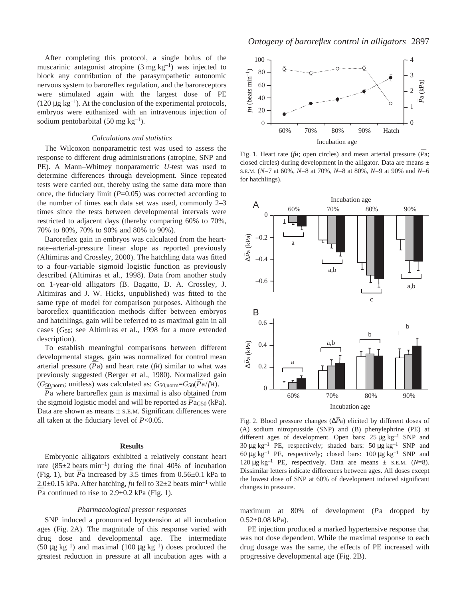After completing this protocol, a single bolus of the muscarinic antagonist atropine  $(3 \text{ mg kg}^{-1})$  was injected to block any contribution of the parasympathetic autonomic nervous system to baroreflex regulation, and the baroreceptors were stimulated again with the largest dose of PE (120  $\mu$ g kg<sup>-1</sup>). At the conclusion of the experimental protocols, embryos were euthanized with an intravenous injection of sodium pentobarbital (50 mg kg<sup>-1</sup>).

### *Calculations and statistics*

The Wilcoxon nonparametric test was used to assess the response to different drug administrations (atropine, SNP and PE). A Mann–Whitney nonparametric *U*-test was used to determine differences through development. Since repeated tests were carried out, thereby using the same data more than once, the fiduciary limit  $(P=0.05)$  was corrected according to the number of times each data set was used, commonly 2–3 times since the tests between developmental intervals were restricted to adjacent days (thereby comparing 60% to 70%, 70% to 80%, 70% to 90% and 80% to 90%).

Baroreflex gain in embryos was calculated from the heartrate–arterial-pressure linear slope as reported previously (Altimiras and Crossley, 2000). The hatchling data was fitted to a four-variable sigmoid logistic function as previously described (Altimiras et al., 1998). Data from another study on 1-year-old alligators (B. Bagatto, D. A. Crossley, J. Altimiras and J. W. Hicks, unpublished) was fitted to the same type of model for comparison purposes. Although the baroreflex quantification methods differ between embryos and hatchlings, gain will be referred to as maximal gain in all cases (*G*50; see Altimiras et al., 1998 for a more extended description).

To establish meaningful comparisons between different developmental stages, gain was normalized for control mean arterial pressure  $(\overline{P}a)$  and heart rate ( $fH$ ) similar to what was previously suggested (Berger et al., 1980). Normalized gain  $(G_{50,norm}$ ; unitless) was calculated as:  $G_{50,norm} = G_{50}(\overline{P}a/fH)$ .

 $\bar{P}$ a where baroreflex gain is maximal is also obtained from the sigmoid logistic model and will be reported as  $\bar{P}a_{\text{G50}}$  (kPa). Data are shown as means  $\pm$  s.E.M. Significant differences were all taken at the fiduciary level of *P*<0.05.

#### **Results**

Embryonic alligators exhibited a relatively constant heart rate  $(85\pm2 \text{ beats min}^{-1})$  during the final 40% of incubation (Fig. 1), but  $\bar{P}$ a increased by 3.5 times from 0.56 $\pm$ 0.1 kPa to 2.0 $\pm$ 0.15 kPa. After hatching, *f*H fell to 32 $\pm$ 2 beats min<sup>-1</sup> while  $\bar{P}$ a continued to rise to 2.9 $\pm$ 0.2 kPa (Fig. 1).

### *Pharmacological pressor responses*

SNP induced a pronounced hypotension at all incubation ages (Fig. 2A). The magnitude of this response varied with drug dose and developmental age. The intermediate (50  $\mu$ g kg<sup>-1</sup>) and maximal (100  $\mu$ g kg<sup>-1</sup>) doses produced the greatest reduction in pressure at all incubation ages with a



Fig. 1. Heart rate (*f*H; open circles) and mean arterial pressure ( $\overline{P}a$ ; closed circles) during development in the alligator. Data are means  $\pm$ S.E.M. (*N*=7 at 60%, *N*=8 at 70%, *N*=8 at 80%, *N*=9 at 90% and *N*=6 for hatchlings).



Fig. 2. Blood pressure changes ( $\Delta \bar{P}$ a) elicited by different doses of (A) sodium nitroprusside (SNP) and (B) phenylephrine (PE) at different ages of development. Open bars:  $25 \mu g kg^{-1}$  SNP and  $30 \mu$ g kg<sup>-1</sup> PE, respectively; shaded bars:  $50 \mu$ g kg<sup>-1</sup> SNP and 60  $\mu$ g kg<sup>-1</sup> PE, respectively; closed bars: 100  $\mu$ g kg<sup>-1</sup> SNP and 120  $\mu$ g kg<sup>-1</sup> PE, respectively. Data are means  $\pm$  s.e.m. (*N*=8). Dissimilar letters indicate differences between ages. All doses except the lowest dose of SNP at 60% of development induced significant changes in pressure.

maximum at 80% of development ( $\overline{P}a$  dropped by  $0.52\pm0.08$  kPa).

PE injection produced a marked hypertensive response that was not dose dependent. While the maximal response to each drug dosage was the same, the effects of PE increased with progressive developmental age (Fig. 2B).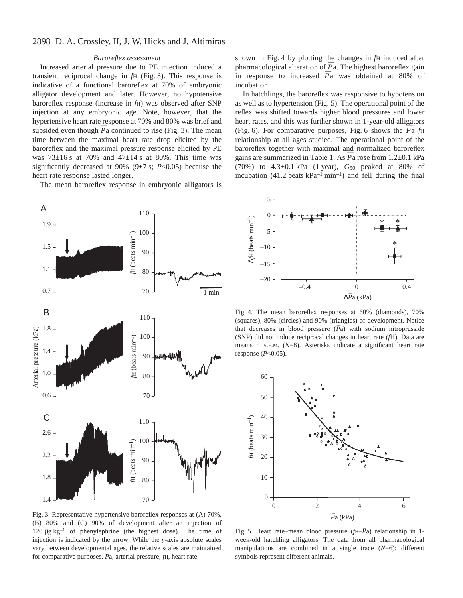# 2898 D. A. Crossley, II, J. W. Hicks and J. Altimiras

#### *Baroreflex assessment*

Increased arterial pressure due to PE injection induced a transient reciprocal change in *f*H (Fig. 3). This response is indicative of a functional baroreflex at 70% of embryonic alligator development and later. However, no hypotensive baroreflex response (increase in *f*H) was observed after SNP injection at any embryonic age. Note, however, that the hypertensive heart rate response at 70% and 80% was brief and subsided even though  $\bar{P}$  a continued to rise (Fig. 3). The mean time between the maximal heart rate drop elicited by the baroreflex and the maximal pressure response elicited by PE was  $73\pm16$  s at 70% and  $47\pm14$  s at 80%. This time was significantly decreased at 90% ( $9\pm7$  s; *P*<0.05) because the heart rate response lasted longer.

The mean baroreflex response in embryonic alligators is



Fig. 3. Representative hypertensive baroreflex responses at (A) 70%, (B) 80% and (C) 90% of development after an injection of  $120 \mu$ g kg<sup>-1</sup> of phenylephrine (the highest dose). The time of injection is indicated by the arrow. While the *y*-axis absolute scales vary between developmental ages, the relative scales are maintained for comparative purposes. *P* – a, arterial pressure; *f*H, heart rate.

shown in Fig. 4 by plotting the changes in *fH* induced after pharmacological alteration of  $\overline{P}$  a. The highest baroreflex gain in response to increased  $\bar{P}a$  was obtained at 80% of incubation.

In hatchlings, the baroreflex was responsive to hypotension as well as to hypertension (Fig. 5). The operational point of the reflex was shifted towards higher blood pressures and lower heart rates, and this was further shown in 1-year-old alligators (Fig. 6). For comparative purposes, Fig. 6 shows the  $\overline{P}$ a–*f*H relationship at all ages studied. The operational point of the baroreflex together with maximal and normalized baroreflex gains are summarized in Table 1. As  $\overline{P}$ a rose from 1.2±0.1 kPa (70%) to  $4.3\pm0.1$  kPa (1 year),  $G_{50}$  peaked at 80% of incubation (41.2 beats  $kPa^{-1}$  min<sup>-1</sup>) and fell during the final



Fig. 4. The mean baroreflex responses at 60% (diamonds), 70% (squares), 80% (circles) and 90% (triangles) of development. Notice that decreases in blood pressure  $(\overline{P}_a)$  with sodium nitroprusside (SNP) did not induce reciprocal changes in heart rate (*f*H). Data are means  $\pm$  s.E.M. ( $N=8$ ). Asterisks indicate a significant heart rate response (*P*<0.05).



Fig. 5. Heart rate–mean blood pressure (*f*H– $\overline{P}$ a) relationship in 1week-old hatchling alligators. The data from all pharmacological manipulations are combined in a single trace (*N*=6); different symbols represent different animals.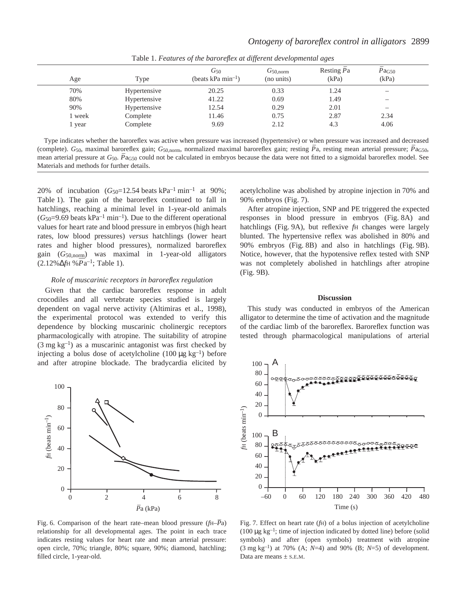| Age  | Type         | $G_{50}$<br>(beats $kPa \text{ min}^{-1}$ ) | $G_{50, norm}$<br>(no units) | Resting Pa<br>(kPa) | Pa <sub>G50</sub><br>(kPa) |
|------|--------------|---------------------------------------------|------------------------------|---------------------|----------------------------|
| 70%  | Hypertensive | 20.25                                       | 0.33                         | 1.24                | $\overline{\phantom{0}}$   |
| 80%  | Hypertensive | 41.22                                       | 0.69                         | 1.49                | $\overline{\phantom{m}}$   |
| 90%  | Hypertensive | 12.54                                       | 0.29                         | 2.01                |                            |
| week | Complete     | 11.46                                       | 0.75                         | 2.87                | 2.34                       |
| year | Complete     | 9.69                                        | 2.12                         | 4.3                 | 4.06                       |

Table 1. *Features of the baroreflex at different developmental ages*

Type indicates whether the baroreflex was active when pressure was increased (hypertensive) or when pressure was increased and decreased (complete). *G*50, maximal baroreflex gain; *G*50,norm, normalized maximal baroreflex gain; resting *P* a, resting mean arterial pressure; *P* aG50, (complete). G<sub>50</sub>, maximal barolenck gain, G<sub>50</sub>,<sub>00</sub><sub>m</sub>, normalized maximal barolenck gain, resung *F* a, result incarr arterial pressure, *F* agso, mean arterial pressure at *G<sub>50</sub>*.  $\overline{P}$  ag<sub>50</sub> could not be calculat Materials and methods for further details.

20% of incubation  $(G_{50}=12.54 \text{ beats kPa}^{-1} \text{ min}^{-1}$  at 90%; Table 1). The gain of the baroreflex continued to fall in hatchlings, reaching a minimal level in 1-year-old animals  $(G_{50}=9.69$  beats kPa<sup>-1</sup> min<sup>-1</sup>). Due to the different operational values for heart rate and blood pressure in embryos (high heart rates, low blood pressures) *versus* hatchlings (lower heart rates and higher blood pressures), normalized baroreflex gain (*G*50,norm) was maximal in 1-year-old alligators (2.12%∆*f*H·%*P*¯a–1; Table·1).

#### *Role of muscarinic receptors in baroreflex regulation*

Given that the cardiac baroreflex response in adult crocodiles and all vertebrate species studied is largely dependent on vagal nerve activity (Altimiras et al., 1998), the experimental protocol was extended to verify this dependence by blocking muscarinic cholinergic receptors pharmacologically with atropine. The suitability of atropine  $(3 \text{ mg kg}^{-1})$  as a muscarinic antagonist was first checked by injecting a bolus dose of acetylcholine  $(100 \mu g kg^{-1})$  before and after atropine blockade. The bradycardia elicited by



acetylcholine was abolished by atropine injection in 70% and 90% embryos (Fig. 7).

After atropine injection, SNP and PE triggered the expected responses in blood pressure in embryos (Fig. 8A) and hatchlings (Fig. 9A), but reflexive *fH* changes were largely blunted. The hypertensive reflex was abolished in 80% and 90% embryos (Fig. 8B) and also in hatchlings (Fig. 9B). Notice, however, that the hypotensive reflex tested with SNP was not completely abolished in hatchlings after atropine  $(Fig. 9B)$ .

#### **Discussion**

This study was conducted in embryos of the American alligator to determine the time of activation and the magnitude of the cardiac limb of the baroreflex. Baroreflex function was tested through pharmacological manipulations of arterial



Fig. 6. Comparison of the heart rate–mean blood pressure (*f*H– $\overline{P}$ a) relationship for all developmental ages. The point in each trace indicates resting values for heart rate and mean arterial pressure: open circle, 70%; triangle, 80%; square, 90%; diamond, hatchling; filled circle, 1-year-old.

Fig. 7. Effect on heart rate (*f*H) of a bolus injection of acetylcholine (100  $\mu$ g kg<sup>-1</sup>; time of injection indicated by dotted line) before (solid symbols) and after (open symbols) treatment with atropine (3·mg·kg–1) at 70% (A; *N*=4) and 90% (B; *N*=5) of development. Data are means  $\pm$  S.E.M.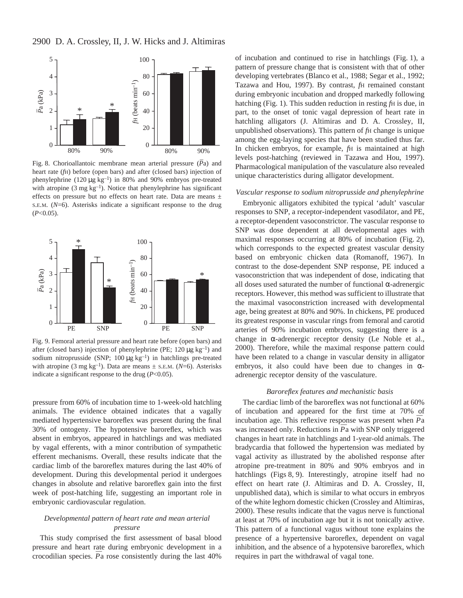

Fig. 8. Chorioallantoic membrane mean arterial pressure  $(\bar{P}_a)$  and heart rate (*f*H) before (open bars) and after (closed bars) injection of phenylephrine  $(120 \mu g kg^{-1})$  in 80% and 90% embryos pre-treated with atropine  $(3 \text{ mg kg}^{-1})$ . Notice that phenylephrine has significant effects on pressure but no effects on heart rate. Data are means ± S.E.M. (*N*=6). Asterisks indicate a significant response to the drug (*P*<0.05).



Fig. 9. Femoral arterial pressure and heart rate before (open bars) and after (closed bars) injection of phenylephrine (PE;  $120 \mu g kg^{-1}$ ) and sodium nitroprusside (SNP;  $100 \mu g kg^{-1}$ ) in hatchlings pre-treated with atropine (3 mg kg<sup>-1</sup>). Data are means  $\pm$  s.E.M. (*N*=6). Asterisks indicate a significant response to the drug (*P*<0.05).

pressure from 60% of incubation time to 1-week-old hatchling animals. The evidence obtained indicates that a vagally mediated hypertensive baroreflex was present during the final 30% of ontogeny. The hypotensive baroreflex, which was absent in embryos, appeared in hatchlings and was mediated by vagal efferents, with a minor contribution of sympathetic efferent mechanisms. Overall, these results indicate that the cardiac limb of the baroreflex matures during the last 40% of development. During this developmental period it undergoes changes in absolute and relative baroreflex gain into the first week of post-hatching life, suggesting an important role in embryonic cardiovascular regulation.

# *Developmental pattern of heart rate and mean arterial pressure*

This study comprised the first assessment of basal blood pressure and heart rate during embryonic development in a crocodilian species.  $\bar{P}$ a rose consistently during the last 40%

of incubation and continued to rise in hatchlings (Fig. 1), a pattern of pressure change that is consistent with that of other developing vertebrates (Blanco et al., 1988; Segar et al., 1992; Tazawa and Hou, 1997). By contrast, *f*H remained constant during embryonic incubation and dropped markedly following hatching (Fig. 1). This sudden reduction in resting *fH* is due, in part, to the onset of tonic vagal depression of heart rate in hatchling alligators (J. Altimiras and D. A. Crossley, II, unpublished observations). This pattern of *f*H change is unique among the egg-laying species that have been studied thus far. In chicken embryos, for example,  $f$ <sup>H</sup> is maintained at high levels post-hatching (reviewed in Tazawa and Hou, 1997). Pharmacological manipulation of the vasculature also revealed unique characteristics during alligator development.

#### *Vascular response to sodium nitroprusside and phenylephrine*

Embryonic alligators exhibited the typical 'adult' vascular responses to SNP, a receptor-independent vasodilator, and PE, a receptor-dependent vasoconstrictor. The vascular response to SNP was dose dependent at all developmental ages with maximal responses occurring at 80% of incubation (Fig. 2), which corresponds to the expected greatest vascular density based on embryonic chicken data (Romanoff, 1967). In contrast to the dose-dependent SNP response, PE induced a vasoconstriction that was independent of dose, indicating that all doses used saturated the number of functional  $\alpha$ -adrenergic receptors. However, this method was sufficient to illustrate that the maximal vasoconstriction increased with developmental age, being greatest at 80% and 90%. In chickens, PE produced its greatest response in vascular rings from femoral and carotid arteries of 90% incubation embryos, suggesting there is a change in  $\alpha$ -adrenergic receptor density (Le Noble et al., 2000). Therefore, while the maximal response pattern could have been related to a change in vascular density in alligator embryos, it also could have been due to changes in  $\alpha$ adrenergic receptor density of the vasculature.

#### *Baroreflex features and mechanistic basis*

The cardiac limb of the baroreflex was not functional at 60% of incubation and appeared for the first time at 70% of incubation age. This reflexive response was present when  $\bar{P}a$ was increased only. Reductions in  $\bar{P}$  a with SNP only triggered changes in heart rate in hatchlings and 1-year-old animals. The bradycardia that followed the hypertension was mediated by vagal activity as illustrated by the abolished response after atropine pre-treatment in 80% and 90% embryos and in hatchlings (Figs 8, 9). Interestingly, atropine itself had no effect on heart rate (J. Altimiras and D. A. Crossley, II, unpublished data), which is similar to what occurs in embryos of the white leghorn domestic chicken (Crossley and Altimiras, 2000). These results indicate that the vagus nerve is functional at least at 70% of incubation age but it is not tonically active. This pattern of a functional vagus without tone explains the presence of a hypertensive baroreflex, dependent on vagal inhibition, and the absence of a hypotensive baroreflex, which requires in part the withdrawal of vagal tone.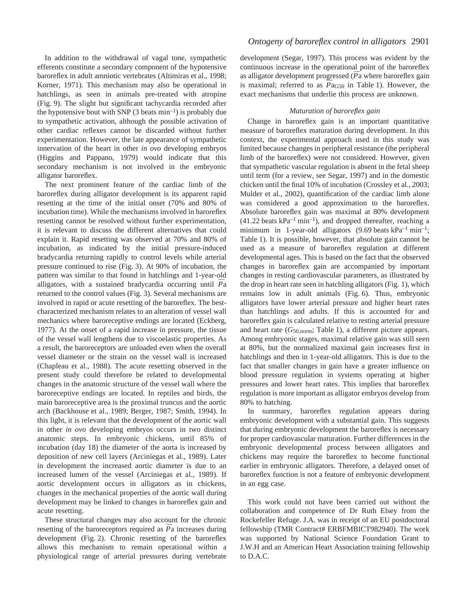In addition to the withdrawal of vagal tone, sympathetic efferents constitute a secondary component of the hypotensive baroreflex in adult amniotic vertebrates (Altimiras et al., 1998; Korner, 1971). This mechanism may also be operational in hatchlings, as seen in animals pre-treated with atropine (Fig. 9). The slight but significant tachycardia recorded after the hypotensive bout with SNP (3 beats  $min^{-1}$ ) is probably due to sympathetic activation, although the possible activation of other cardiac reflexes cannot be discarded without further experimentation. However, the late appearance of sympathetic innervation of the heart in other *in ovo* developing embryos (Higgins and Pappano, 1979) would indicate that this secondary mechanism is not involved in the embryonic alligator baroreflex.

The next prominent feature of the cardiac limb of the baroreflex during alligator development is its apparent rapid resetting at the time of the initial onset (70% and 80% of incubation time). While the mechanisms involved in baroreflex resetting cannot be resolved without further experimentation, it is relevant to discuss the different alternatives that could explain it. Rapid resetting was observed at 70% and 80% of incubation, as indicated by the initial pressure-induced bradycardia returning rapidly to control levels while arterial pressure continued to rise (Fig. 3). At 90% of incubation, the pattern was similar to that found in hatchlings and 1-year-old alligators, with a sustained bradycardia occurring until *Pa* returned to the control values (Fig. 3). Several mechanisms are involved in rapid or acute resetting of the baroreflex. The bestcharacterized mechanism relates to an alteration of vessel wall mechanics where baroreceptive endings are located (Eckberg, 1977). At the onset of a rapid increase in pressure, the tissue of the vessel wall lengthens due to viscoelastic properties. As a result, the baroreceptors are unloaded even when the overall vessel diameter or the strain on the vessel wall is increased (Chapleau et al., 1988). The acute resetting observed in the present study could therefore be related to developmental changes in the anatomic structure of the vessel wall where the baroreceptive endings are located. In reptiles and birds, the main baroreceptive area is the proximal truncus and the aortic arch (Backhouse et al., 1989; Berger, 1987; Smith, 1994). In this light, it is relevant that the development of the aortic wall in other *in ovo* developing embryos occurs in two distinct anatomic steps. In embryonic chickens, until 85% of incubation (day 18) the diameter of the aorta is increased by deposition of new cell layers (Arciniegas et al., 1989). Later in development the increased aortic diameter is due to an increased lumen of the vessel (Arciniegas et al., 1989). If aortic development occurs in alligators as in chickens, changes in the mechanical properties of the aortic wall during development may be linked to changes in baroreflex gain and acute resetting.

These structural changes may also account for the chronic resetting of the baroreceptors required as  $\bar{P}$ a increases during development (Fig. 2). Chronic resetting of the baroreflex allows this mechanism to remain operational within a physiological range of arterial pressures during vertebrate

# *Ontogeny of baroreflex control in alligators* 2901

development (Segar, 1997). This process was evident by the continuous increase in the operational point of the baroreflex as alligator development progressed ( $\overline{P}$ a where baroreflex gain is maximal; referred to as  $\bar{P}_{\alpha G50}$  in Table 1). However, the exact mechanisms that underlie this process are unknown.

# *Maturation of baroreflex gain*

Change in baroreflex gain is an important quantitative measure of baroreflex maturation during development. In this context, the experimental approach used in this study was limited because changes in peripheral resistance (the peripheral limb of the baroreflex) were not considered. However, given that sympathetic vascular regulation is absent in the fetal sheep until term (for a review, see Segar, 1997) and in the domestic chicken until the final 10% of incubation (Crossley et al., 2003; Mulder et al., 2002), quantification of the cardiac limb alone was considered a good approximation to the baroreflex. Absolute baroreflex gain was maximal at 80% development  $(41.22 \text{ beats} kPa^{-1} \text{ min}^{-1})$ , and dropped thereafter, reaching a minimum in 1-year-old alligators  $(9.69 \text{ beats kPa}^{-1} \text{min}^{-1})$ ; Table 1). It is possible, however, that absolute gain cannot be used as a measure of baroreflex regulation at different developmental ages. This is based on the fact that the observed changes in baroreflex gain are accompanied by important changes in resting cardiovascular parameters, as illustrated by the drop in heart rate seen in hatchling alligators (Fig. 1), which remains low in adult animals (Fig. 6). Thus, embryonic alligators have lower arterial pressure and higher heart rates than hatchlings and adults. If this is accounted for and baroreflex gain is calculated relative to resting arterial pressure and heart rate (*G*<sub>50,norm</sub>; Table 1), a different picture appears. Among embryonic stages, maximal relative gain was still seen at 80%, but the normalized maximal gain increases first in hatchlings and then in 1-year-old alligators. This is due to the fact that smaller changes in gain have a greater influence on blood pressure regulation in systems operating at higher pressures and lower heart rates. This implies that baroreflex regulation is more important as alligator embryos develop from 80% to hatching.

In summary, baroreflex regulation appears during embryonic development with a substantial gain. This suggests that during embryonic development the baroreflex is necessary for proper cardiovascular maturation. Further differences in the embryonic developmental process between alligators and chickens may require the baroreflex to become functional earlier in embryonic alligators. Therefore, a delayed onset of baroreflex function is not a feature of embryonic development in an egg case.

This work could not have been carried out without the collaboration and competence of Dr Ruth Elsey from the Rockefeller Refuge. J.A. was in receipt of an EU postdoctoral fellowship (TMR Contract# ERBFMBICT982940). The work was supported by National Science Foundation Grant to J.W.H and an American Heart Association training fellowship to D.A.C.